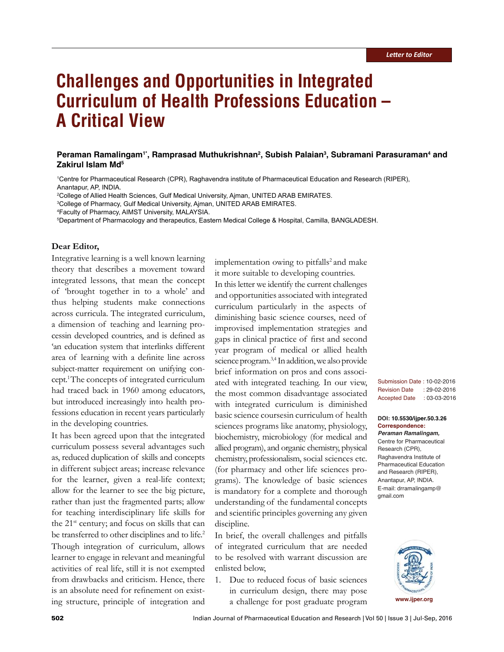# **Challenges and Opportunities in Integrated Curriculum of Health Professions Education – A Critical View**

### **Peraman Ramalingam1\*, Ramprasad Muthukrishnan<sup>2</sup> , Subish Palaian<sup>3</sup> , Subramani Parasuraman<sup>4</sup> and Zakirul Islam Md<sup>5</sup>**

<sup>1</sup>Centre for Pharmaceutical Research (CPR), Raghavendra institute of Pharmaceutical Education and Research (RIPER), Anantapur, AP, INDIA.

<sup>2</sup>College of Allied Health Sciences, Gulf Medical University, Ajman, UNITED ARAB EMIRATES.

<sup>3</sup>College of Pharmacy, Gulf Medical University, Ajman, UNITED ARAB EMIRATES.

<sup>4</sup>Faculty of Pharmacy, AIMST University, MALAYSIA.

<sup>5</sup>Department of Pharmacology and therapeutics, Eastern Medical College & Hospital, Camilla, BANGLADESH.

### **Dear Editor,**

Integrative learning is a well known learning theory that describes a movement toward integrated lessons, that mean the concept of 'brought together in to a whole' and thus helping students make connections across curricula. The integrated curriculum, a dimension of teaching and learning processin developed countries, and is defined as 'an education system that interlinks different area of learning with a definite line across subject-matter requirement on unifying concept.<sup>1</sup>The concepts of integrated curriculum had traced back in 1960 among educators, but introduced increasingly into health professions education in recent years particularly in the developing countries.

It has been agreed upon that the integrated curriculum possess several advantages such as, reduced duplication of skills and concepts in different subject areas; increase relevance for the learner, given a real-life context; allow for the learner to see the big picture, rather than just the fragmented parts; allow for teaching interdisciplinary life skills for the 21<sup>st</sup> century; and focus on skills that can be transferred to other disciplines and to life.<sup>2</sup> Though integration of curriculum, allows learner to engage in relevant and meaningful activities of real life, still it is not exempted from drawbacks and criticism. Hence, there is an absolute need for refinement on existing structure, principle of integration and

implementation owing to pitfalls<sup>2</sup> and make it more suitable to developing countries.

In this letter we identify the current challenges and opportunities associated with integrated curriculum particularly in the aspects of diminishing basic science courses, need of improvised implementation strategies and gaps in clinical practice of first and second year program of medical or allied health science program.3,4 In addition, we also provide brief information on pros and cons associated with integrated teaching. In our view, the most common disadvantage associated with integrated curriculum is diminished basic science coursesin curriculum of health sciences programs like anatomy, physiology, biochemistry, microbiology (for medical and allied program), and organic chemistry, physical chemistry, professionalism, social sciences etc. (for pharmacy and other life sciences programs). The knowledge of basic sciences is mandatory for a complete and thorough understanding of the fundamental concepts and scientific principles governing any given discipline.

In brief, the overall challenges and pitfalls of integrated curriculum that are needed to be resolved with warrant discussion are enlisted below,

1. Due to reduced focus of basic sciences in curriculum design, there may pose a challenge for post graduate program Submission Date : 10-02-2016 Revision Date : 29-02-2016 Accepted Date : 03-03-2016

**DOI: 10.5530/ijper.50.3.26 Correspondence: Peraman Ramalingam,**

Centre for Pharmaceutical Research (CPR), Raghavendra Institute of Pharmaceutical Education and Research (RIPER), Anantapur, AP, INDIA. E-mail: drramalingamp@ gmail.com